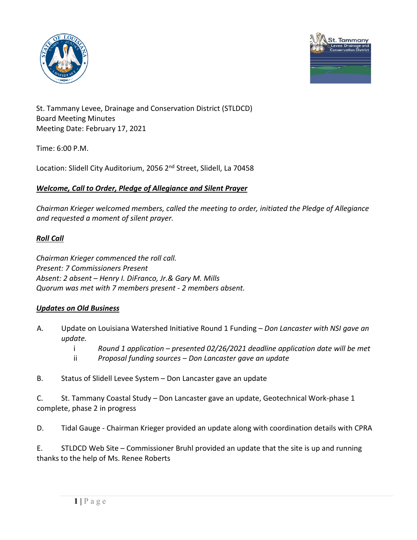



St. Tammany Levee, Drainage and Conservation District (STLDCD) Board Meeting Minutes Meeting Date: February 17, 2021

Time: 6:00 P.M.

Location: Slidell City Auditorium, 2056 2<sup>nd</sup> Street, Slidell, La 70458

# *Welcome, Call to Order, Pledge of Allegiance and Silent Prayer*

*Chairman Krieger welcomed members, called the meeting to order, initiated the Pledge of Allegiance and requested a moment of silent prayer.* 

# *Roll Call*

*Chairman Krieger commenced the roll call. Present: 7 Commissioners Present Absent: 2 absent – Henry I. DiFranco, Jr.& Gary M. Mills Quorum was met with 7 members present - 2 members absent.*

# *Updates on Old Business*

- A. Update on Louisiana Watershed Initiative Round 1 Funding *Don Lancaster with NSI gave an update.* 
	- i *Round 1 application – presented 02/26/2021 deadline application date will be met*
	- ii *Proposal funding sources – Don Lancaster gave an update*
- B. Status of Slidell Levee System Don Lancaster gave an update

C. St. Tammany Coastal Study – Don Lancaster gave an update, Geotechnical Work-phase 1 complete, phase 2 in progress

D. Tidal Gauge - Chairman Krieger provided an update along with coordination details with CPRA

E. STLDCD Web Site – Commissioner Bruhl provided an update that the site is up and running thanks to the help of Ms. Renee Roberts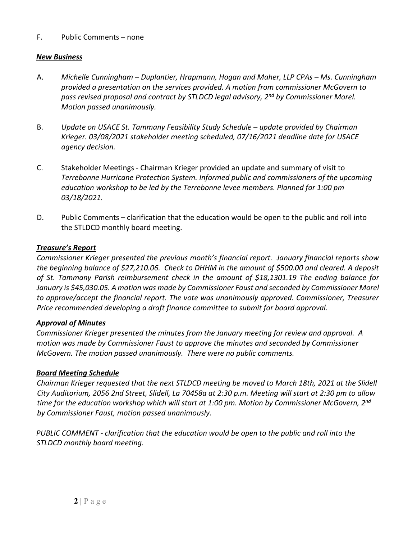# F. Public Comments – none

#### *New Business*

- A. *Michelle Cunningham – Duplantier, Hrapmann, Hogan and Maher, LLP CPAs – Ms. Cunningham provided a presentation on the services provided. A motion from commissioner McGovern to pass revised proposal and contract by STLDCD legal advisory, 2nd by Commissioner Morel. Motion passed unanimously.*
- B. *Update on USACE St. Tammany Feasibility Study Schedule – update provided by Chairman Krieger. 03/08/2021 stakeholder meeting scheduled, 07/16/2021 deadline date for USACE agency decision.*
- C. Stakeholder Meetings Chairman Krieger provided an update and summary of visit to *Terrebonne Hurricane Protection System. Informed public and commissioners of the upcoming education workshop to be led by the Terrebonne levee members. Planned for 1:00 pm 03/18/2021.*
- D. Public Comments clarification that the education would be open to the public and roll into the STLDCD monthly board meeting.

#### *Treasure's Report*

*Commissioner Krieger presented the previous month's financial report. January financial reports show the beginning balance of \$27,210.06. Check to DHHM in the amount of \$500.00 and cleared. A deposit of St. Tammany Parish reimbursement check in the amount of \$18,1301.19 The ending balance for January is \$45,030.05. A motion was made by Commissioner Faust and seconded by Commissioner Morel to approve/accept the financial report. The vote was unanimously approved. Commissioner, Treasurer Price recommended developing a draft finance committee to submit for board approval.* 

#### *Approval of Minutes*

*Commissioner Krieger presented the minutes from the January meeting for review and approval. A motion was made by Commissioner Faust to approve the minutes and seconded by Commissioner McGovern. The motion passed unanimously. There were no public comments.* 

# *Board Meeting Schedule*

*Chairman Krieger requested that the next STLDCD meeting be moved to March 18th, 2021 at the Slidell City Auditorium, 2056 2nd Street, Slidell, La 70458a at 2:30 p.m. Meeting will start at 2:30 pm to allow time for the education workshop which will start at 1:00 pm. Motion by Commissioner McGovern, 2nd by Commissioner Faust, motion passed unanimously.* 

*PUBLIC COMMENT - clarification that the education would be open to the public and roll into the STLDCD monthly board meeting.*